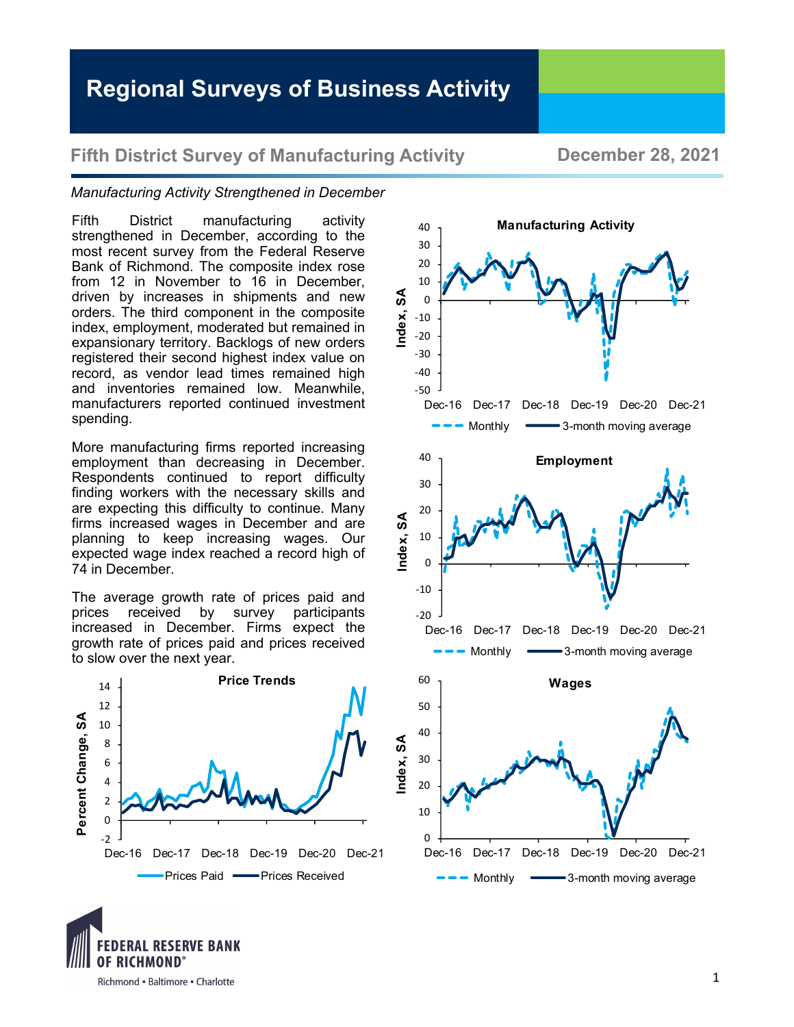# **Regional Surveys of Business Activity**

### **Fifth District Survey of Manufacturing Activity <b>December 28, 2021**

#### *Manufacturing Activity Strengthened in December*

Fifth District manufacturing activity strengthened in December, according to the most recent survey from the Federal Reserve Bank of Richmond. The composite index rose from 12 in November to 16 in December, driven by increases in shipments and new orders. The third component in the composite index, employment, moderated but remained in expansionary territory. Backlogs of new orders registered their second highest index value on record, as vendor lead times remained high and inventories remained low. Meanwhile, manufacturers reported continued investment spending.

More manufacturing firms reported increasing employment than decreasing in December. Respondents continued to report difficulty finding workers with the necessary skills and are expecting this difficulty to continue. Many firms increased wages in December and are planning to keep increasing wages. Our expected wage index reached a record high of 74 in December.

The average growth rate of prices paid and prices received by survey participants increased in December. Firms expect the growth rate of prices paid and prices received to slow over the next year.